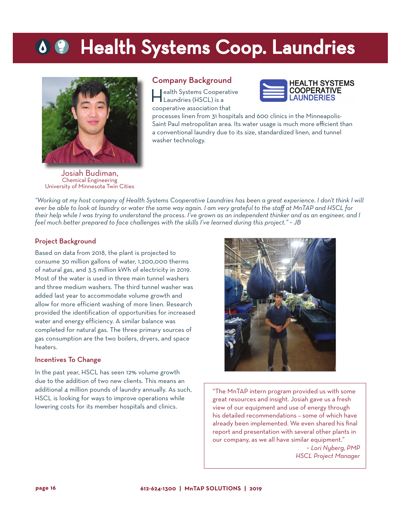## **OC** Health Systems Coop. Laundries



#### Company Background

Health Systems Cooperative Laundries (HSCL) is a cooperative association that



processes linen from 31 hospitals and 600 clinics in the Minneapolis-Saint Paul metropolitan area. Its water usage is much more efficient than a conventional laundry due to its size, standardized linen, and tunnel washer technology.

Josiah Budiman, Chemical Engineering University of Minnesota Twin Cities

*"Working at my host company of Health Systems Cooperative Laundries has been a great experience. I don't think I will ever be able to look at laundry or water the same way again. I am very grateful to the staff at MnTAP and HSCL for their help while I was trying to understand the process. I've grown as an independent thinker and as an engineer, and I feel much better prepared to face challenges with the skills I've learned during this project." ~ JB*

#### Project Background

Based on data from 2018, the plant is projected to consume 30 million gallons of water, 1,200,000 therms of natural gas, and 3.5 million kWh of electricity in 2019. Most of the water is used in three main tunnel washers and three medium washers. The third tunnel washer was added last year to accommodate volume growth and allow for more efficient washing of more linen. Research provided the identification of opportunities for increased water and energy efficiency. A similar balance was completed for natural gas. The three primary sources of gas consumption are the two boilers, dryers, and space heaters.

#### Incentives To Change

In the past year, HSCL has seen 12% volume growth due to the addition of two new clients. This means an additional 4 million pounds of laundry annually. As such, HSCL is looking for ways to improve operations while lowering costs for its member hospitals and clinics.



"The MnTAP intern program provided us with some great resources and insight. Josiah gave us a fresh view of our equipment and use of energy through his detailed recommendations – some of which have already been implemented. We even shared his final report and presentation with several other plants in our company, as we all have similar equipment."

<sup>~</sup>*Lori Nyberg, PMP HSCL Project Manager*